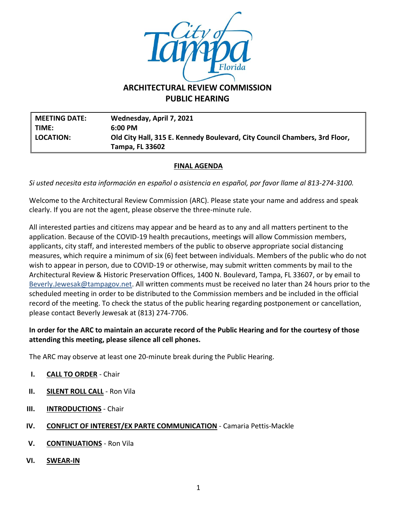

# **ARCHITECTURAL REVIEW COMMISSION PUBLIC HEARING**

**MEETING DATE: Wednesday, April 7, 2021 TIME: 6:00 PM LOCATION: Old City Hall, 315 E. Kennedy Boulevard, City Council Chambers, 3rd Floor, Tampa, FL 33602**

### **FINAL AGENDA**

*Si usted necesita esta información en español o asistencia en español, por favor llame al 813-274-3100.*

Welcome to the Architectural Review Commission (ARC). Please state your name and address and speak clearly. If you are not the agent, please observe the three-minute rule.

All interested parties and citizens may appear and be heard as to any and all matters pertinent to the application. Because of the COVID-19 health precautions, meetings will allow Commission members, applicants, city staff, and interested members of the public to observe appropriate social distancing measures, which require a minimum of six (6) feet between individuals. Members of the public who do not wish to appear in person, due to COVID-19 or otherwise, may submit written comments by mail to the Architectural Review & Historic Preservation Offices, 1400 N. Boulevard, Tampa, FL 33607, or by email to [Beverly.Jewesak@tampagov.net.](mailto:Beverly.Jewesak@tampagov.net) All written comments must be received no later than 24 hours prior to the scheduled meeting in order to be distributed to the Commission members and be included in the official record of the meeting. To check the status of the public hearing regarding postponement or cancellation, please contact Beverly Jewesak at (813) 274-7706.

### **In order for the ARC to maintain an accurate record of the Public Hearing and for the courtesy of those attending this meeting, please silence all cell phones.**

The ARC may observe at least one 20-minute break during the Public Hearing.

- **I. CALL TO ORDER** Chair
- **II. SILENT ROLL CALL** Ron Vila
- **III. INTRODUCTIONS** Chair
- **IV. CONFLICT OF INTEREST/EX PARTE COMMUNICATION** Camaria Pettis-Mackle
- **V. CONTINUATIONS** Ron Vila
- **VI. SWEAR-IN**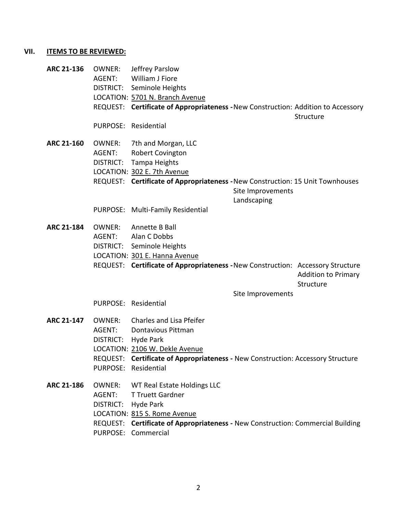## **VII. ITEMS TO BE REVIEWED:**

| ARC 21-136        | <b>OWNER:</b><br>AGENT:                 | Jeffrey Parslow<br>William J Fiore<br>DISTRICT: Seminole Heights<br>LOCATION: 5701 N. Branch Avenue                                                                                                             |                   |                                         |
|-------------------|-----------------------------------------|-----------------------------------------------------------------------------------------------------------------------------------------------------------------------------------------------------------------|-------------------|-----------------------------------------|
|                   |                                         | REQUEST: Certificate of Appropriateness - New Construction: Addition to Accessory                                                                                                                               |                   | Structure                               |
|                   |                                         | PURPOSE: Residential                                                                                                                                                                                            |                   |                                         |
| <b>ARC 21-160</b> | OWNER:<br>AGENT:                        | 7th and Morgan, LLC<br><b>Robert Covington</b><br>DISTRICT: Tampa Heights<br>LOCATION: 302 E. 7th Avenue<br>REQUEST: Certificate of Appropriateness - New Construction: 15 Unit Townhouses                      | Site Improvements |                                         |
|                   |                                         | PURPOSE: Multi-Family Residential                                                                                                                                                                               | Landscaping       |                                         |
| <b>ARC 21-184</b> | OWNER:<br>AGENT:                        | Annette B Ball<br>Alan C Dobbs<br>DISTRICT: Seminole Heights<br>LOCATION: 301 E. Hanna Avenue                                                                                                                   |                   |                                         |
|                   |                                         | REQUEST: Certificate of Appropriateness - New Construction: Accessory Structure                                                                                                                                 |                   | <b>Addition to Primary</b><br>Structure |
|                   |                                         | PURPOSE: Residential                                                                                                                                                                                            | Site Improvements |                                         |
| ARC 21-147        | OWNER:<br>AGENT:<br><b>DISTRICT:</b>    | <b>Charles and Lisa Pfeifer</b><br>Dontavious Pittman<br>Hyde Park<br>LOCATION: 2106 W. Dekle Avenue<br>REQUEST: Certificate of Appropriateness - New Construction: Accessory Structure<br>PURPOSE: Residential |                   |                                         |
| <b>ARC 21-186</b> | OWNER:<br>AGENT:<br>DISTRICT: Hyde Park | WT Real Estate Holdings LLC<br><b>T Truett Gardner</b><br>LOCATION: 815 S. Rome Avenue<br>REQUEST: Certificate of Appropriateness - New Construction: Commercial Building<br>PURPOSE: Commercial                |                   |                                         |